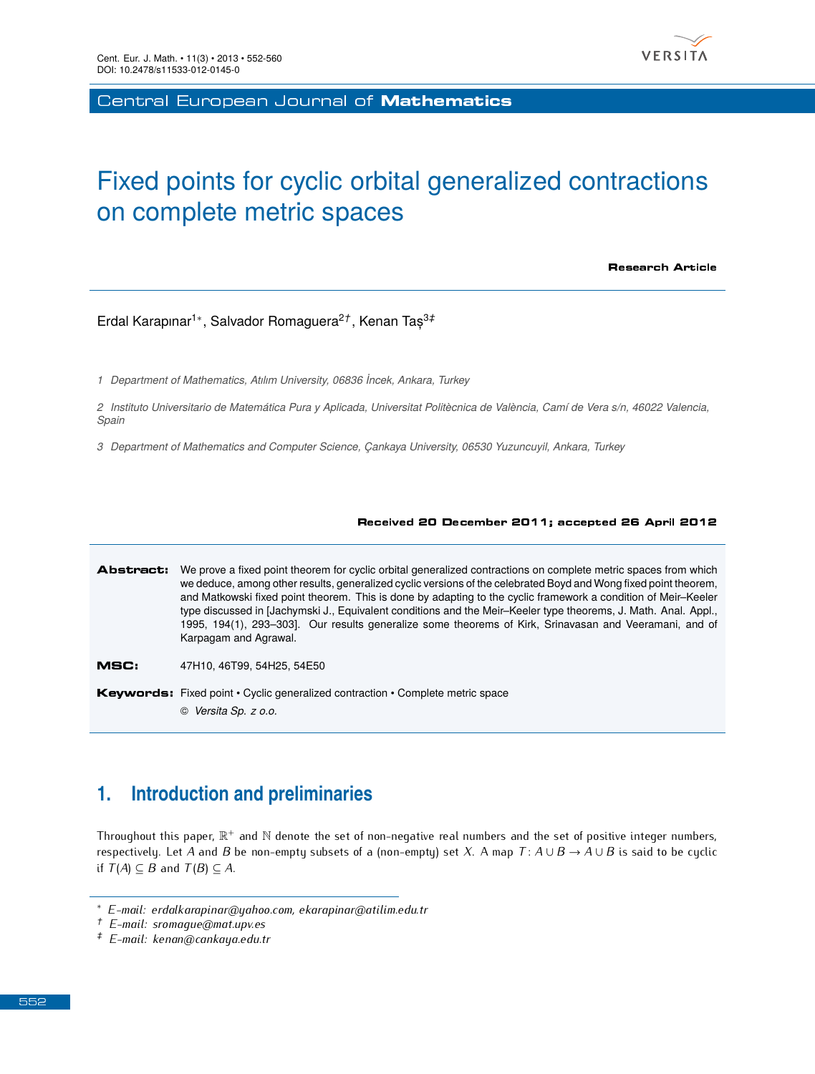

Central European Journal of **Mathematics** 

# Fixed points for cyclic orbital generalized contractions on complete metric spaces

Research Article

Erdal Karapınar<sup>1</sup>*<sup>∗</sup>* , Salvador Romaguera<sup>2</sup>*†* , Kenan Taș<sup>3</sup>*‡*

*1 Department of Mathematics, Atılım University, 06836 ˙Incek, Ankara, Turkey*

*2 Instituto Universitario de Matemática Pura y Aplicada, Universitat Politècnica de València, Camí de Vera s/n, 46022 Valencia, Spain*

*3 Department of Mathematics and Computer Science, Çankaya University, 06530 Yuzuncuyil, Ankara, Turkey*

#### Received 20 December 2011; accepted 26 April 2012

Abstract: We prove a fixed point theorem for cyclic orbital generalized contractions on complete metric spaces from which we deduce, among other results, generalized cyclic versions of the celebrated Boyd and Wong fixed point theorem, and Matkowski fixed point theorem. This is done by adapting to the cyclic framework a condition of Meir–Keeler type discussed in [Jachymski J., Equivalent conditions and the Meir–Keeler type theorems, J. Math. Anal. Appl., 1995, 194(1), 293–303]. Our results generalize some theorems of Kirk, Srinavasan and Veeramani, and of Karpagam and Agrawal.

MSC: 47H10, 46T99, 54H25, 54E50

Keywords: Fixed point • Cyclic generalized contraction • Complete metric space © *Versita Sp. z o.o.*

## **1. Introduction and preliminaries**

Throughout this paper,  $\mathbb{R}^+$  and  $\mathbb{N}$  denote the set of non-negative real numbers and the set of positive integer numbers,<br>reconsidered at  $A$  and  $B$  be non-ampte subside of a (non-ampte) set  $X$ ,  $A$  man  $T$ , respectively. Let *A* and *B* be non-empty subsets of a (non-empty) set *X*. A map  $T: A \cup B \rightarrow A \cup B$  is said to be cyclic if *T*(*A*)  $\subseteq$  *B* and *T*(*B*)  $\subseteq$  *A*.

*<sup>∗</sup> E-mail: erdalkarapinar@yahoo.com, ekarapinar@atilim.edu.tr*

*<sup>†</sup> E-mail: sromague@mat.upv.es*

*<sup>‡</sup> E-mail: kenan@cankaya.edu.tr*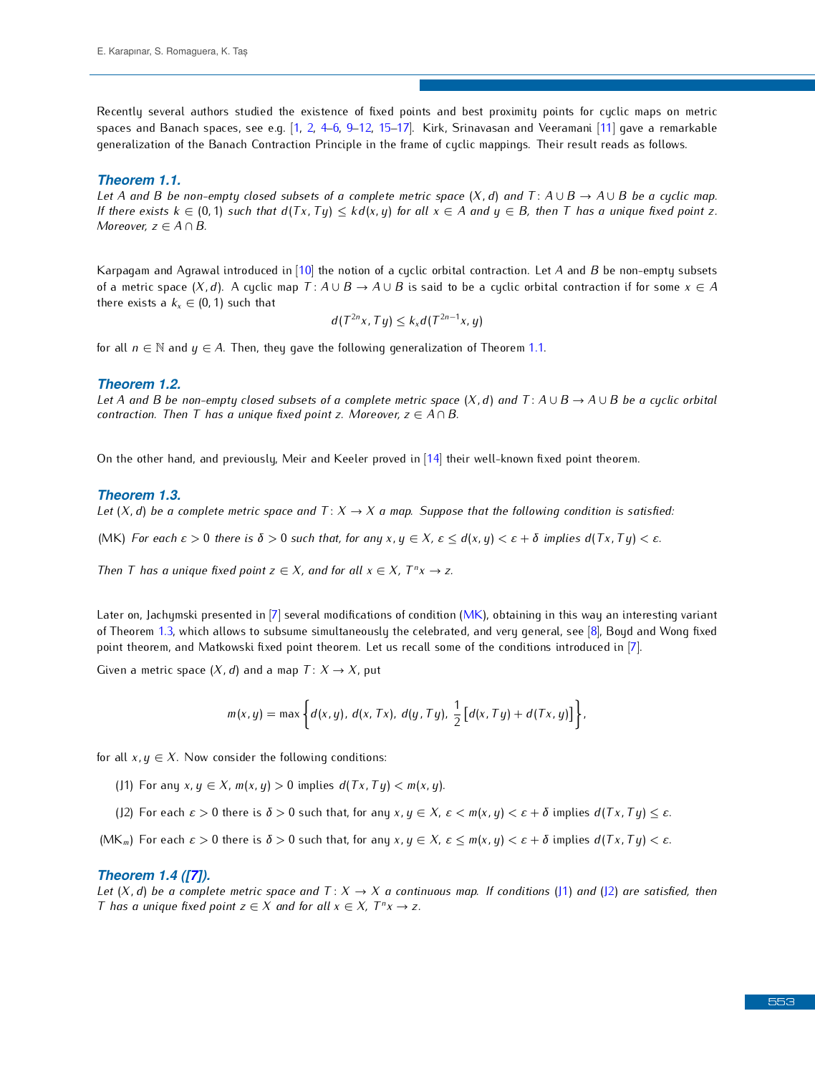R[e](#page-8-4)cently several authors studied the [exi](#page-8-1)[ste](#page-8-2)[nc](#page-8-3)e [of fi](#page-8-5)[xed](#page-8-6) [po](#page-8-7)ints and best proximity points for [cyc](#page-8-8)lic maps on metric<br>spaces and Banach spaces, see e.g. [1, 2, 4–6, 9–12, 15–17]. Kirk, Srinavasan and Veeramani [11] qave a rem  $s_{\text{generalization}}$  of the Banach Contraction Bringinle in the frame of cuclic mannings. Their result rande as follows generalization of the Banach Contraction Principle in the frame of cyclic mappings. Their result reads as follows.

#### <span id="page-1-0"></span>*Theorem 1.1.*

*Let A* and *B be non-empty closed subsets of a complete metric space*  $(X, d)$  and  $T: A \cup B \rightarrow A \cup B$  *be a cyclic map.* If there exists  $k \in (0,1)$  such that  $d(Tx, Ty) \leq k d(x, y)$  for all  $x \in A$  and  $y \in B$ , then T has a unique fixed point z. *Moreover, z ∈ A ∩ B.*

Karpagam and Agrawal introduced in [\[10\]](#page-8-9) the notion of a cyclic orbital contraction. Let *<sup>A</sup>* and *<sup>B</sup>* be non-empty subsets of a metric space  $(X, d)$ . A cyclic map  $T: A \cup B \rightarrow A \cup B$  is said to be a cyclic orbital contraction if for some  $x \in A$ there exists a  $k_x \in (0, 1)$  such that

$$
d(T^{2n}x,Ty)\leq k_x d(T^{2n-1}x,y)
$$

for all  $n \in \mathbb{N}$  and  $y \in A$ . Then, they gave the following generalization of Theorem [1.1.](#page-1-0)

#### <span id="page-1-7"></span>*Theorem 1.2.*

Let A and B be non-empty closed subsets of a complete metric space  $(X, d)$  and  $T: A \cup B \rightarrow A \cup B$  be a cyclic orbital *contraction. Then T has a unique fixed point z. Moreover, z ∈ A ∩ B.*

On the other hand, and previously, Meir and Keeler proved in [\[14\]](#page-8-10) their well-known fixed point theorem.

#### <span id="page-1-2"></span>*Theorem 1.3.*

*Let*  $(X, d)$  *be a complete metric space and*  $T: X \to X$  *a map. Suppose that the following condition is satisfied:* 

<span id="page-1-1"></span>(MK) For each  $\varepsilon > 0$  there is  $\delta > 0$  such that, for any  $x, y \in X$ ,  $\varepsilon \leq d(x, y) < \varepsilon + \delta$  implies  $d(Tx, Ty) < \varepsilon$ .

*Then T has a unique fixed point*  $z \in X$ *, and for all*  $x \in X$ *, T<sup>n</sup>x*  $\rightarrow$  *z.* 

Later on, Ja[chym](#page-1-2)ski presented in [\[7\]](#page-8-11) several modifications of condition [\(MK\)](#page-1-1), obtaining in this [way](#page-8-12) an interesting variant<br>of Theorem 1.3, which allows to subsume simultaneously the celebrated, and very general, see [8], point theorem, and Matkowski fixed point theorem. Let us recall some of the conditions introduced in [7]. point theorem, and Matkowski fixed point theorem. Let us recall some of the conditions introduced in [7].

Given a metric space  $(X, d)$  and a map  $T: X \rightarrow X$ , put

$$
m(x, y) = \max \bigg\{ d(x, y), d(x, Tx), d(y, Ty), \frac{1}{2} [d(x, Ty) + d(Tx, y)] \bigg\}.
$$

for all  $x, y \in X$ . Now consider the following conditions:

<span id="page-1-3"></span>(J1) For any  $x, y \in X$ ,  $m(x, y) > 0$  implies  $d(Tx, Ty) < m(x, y)$ .

<span id="page-1-4"></span>(J2) For each  $\varepsilon > 0$  there is  $\delta > 0$  such that, for any  $x, y \in X$ ,  $\varepsilon < m(x, y) < \varepsilon + \delta$  implies  $d(Tx, Ty) \leq \varepsilon$ .

<span id="page-1-5"></span>(MK<sub>m</sub>) For each  $\varepsilon > 0$  there is  $\delta > 0$  such that, for any  $x, y \in X$ ,  $\varepsilon \le m(x, y) < \varepsilon + \delta$  implies  $d(Tx, Ty) < \varepsilon$ .

#### <span id="page-1-6"></span>*Theorem 1.4 ([\[7\]](#page-8-11)).*

*Let*  $(X, d)$  *be a complete metric space and*  $T: X \to X$  *a continuous map. If conditions* [\(J1\)](#page-1-3) *and* [\(J2\)](#page-1-4) *are satisfied, then T* has a unique fixed point  $z \in X$  and for all  $x \in X$ ,  $T^n x \to z$ .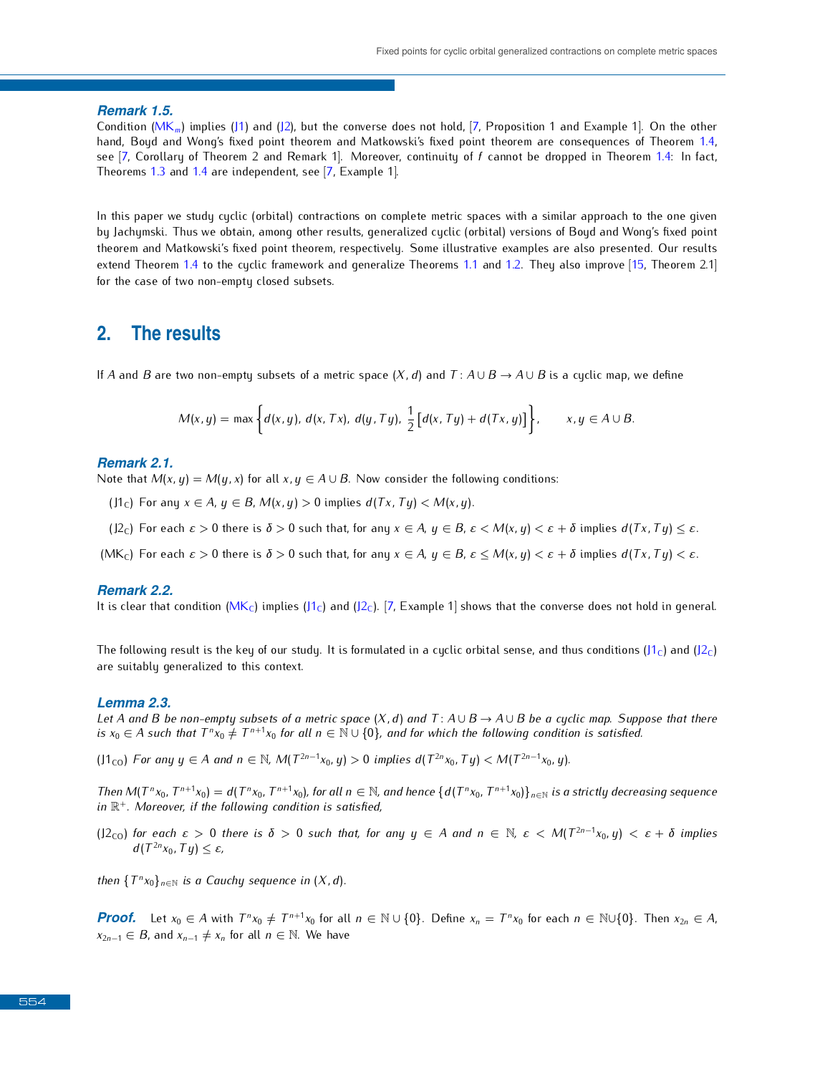*Remark 1.5.*<br>Condition (MK<sub>m</sub>) implies (J1) and (J2), but the converse does not hold, [7, Proposition 1 and Example 1]. On the other hand, Boyd and Wong's fixed point theorem and Matkowski's fixed point theorem are consequences of Theorem 1.4, see  $[7,$  Corollary of [Theo](#page-1-6)rem 2 and Remar[k 1](#page-8-11)]. Moreover, continuity of f cannot be dropped in Theorem 1.4: In fact, Theorems 1.3 and 1.4 are independent, see [7, Example 1].

In this paper we study cyclic (orbital) contractions on complete metric spaces with a similar approach to the one given theorem and Matkowski's fixed point theorem, respectively. Some illustrative examples are also presented. Our results extend Theorem 1.4 to the cuclic framework and generalize Theorems 1.1 and 1.2. They also improve [15, Theorem 2.1] for the case of two non-ampty along subsets. for the case of two non-empty closed subsets.

### **2. The results**

If *A* and *B* are two non-empty subsets of a metric space  $(X, d)$  and  $T: A \cup B \rightarrow A \cup B$  is a cyclic map, we define

$$
M(x,y)=\max\bigg\{d(x,y), d(x,Tx), d(y,Ty), \frac{1}{2}\big[d(x,Ty)+d(Tx,y)\big]\bigg\}, \qquad x,y\in A\cup B.
$$

#### *Remark 2.1.*

Note that  $M(x, y) = M(y, x)$  for all  $x, y \in A \cup B$ . Now consider the following conditions:

- <span id="page-2-1"></span>(J1<sub>C</sub>) For any  $x \in A$ ,  $y \in B$ ,  $M(x, y) > 0$  implies  $d(Tx, Ty) < M(x, y)$ .
- <span id="page-2-2"></span> $(12<sub>C</sub>)$  For each  $\varepsilon > 0$  there is  $\delta > 0$  such that, for any  $x \in A$ ,  $y \in B$ ,  $\varepsilon < M(x, y) < \varepsilon + \delta$  implies  $d(Tx, Ty) < \varepsilon$ .
- <span id="page-2-0"></span>(MK<sub>C</sub>) For each  $\varepsilon > 0$  there is  $\delta > 0$  such that, for any  $x \in A$ ,  $y \in B$ ,  $\varepsilon \le M(x, y) < \varepsilon + \delta$  implies  $d(Tx, Ty) < \varepsilon$ .

#### *Remark 2.2.*

It is clear that condition ( $MK_C$ ) implies ( $J_1$ C) and ( $J_2$ ). [\[7,](#page-8-11) Example 1] shows that the converse does not hold in general.

The following result is the key of our study. It is formulated in a cyclic orbital sense, and thus conditions  $(J1<sub>C</sub>)$  $(J1<sub>C</sub>)$  and  $(J2<sub>C</sub>)$  $(J2<sub>C</sub>)$ are suitably generalized to this context.

### <span id="page-2-5"></span>*Lemma 2.3.*

Let A and B be non-empty subsets of a metric space  $(X, d)$  and  $T: A \cup B \rightarrow A \cup B$  be a cyclic map. Suppose that there is  $x_0 \in A$  such that  $T^n x_0 \neq T^{n+1} x_0$  for all  $n \in \mathbb{N} \cup \{0\}$ , and for which the following condition is satisfied.

<span id="page-2-3"></span>(J1<sub>co</sub>) For any  $y \in A$  and  $n \in \mathbb{N}$ ,  $M(T^{2n-1}x_0, y) > 0$  implies  $d(T^{2n}x_0, Ty) < M(T^{2n-1}x_0, y)$ .

Then  $M(T^n x_0, T^{n+1} x_0) = d(T^n x_0, T^{n+1} x_0)$ , for all  $n \in \mathbb{N}$ , and hence  $\{d(T^n x_0, T^{n+1} x_0)\}_{n \in \mathbb{N}}$  is a strictly decreasing sequence<br>in  $\mathbb{P}^+$ . Margovar, if the following condition is satisfied *in* R <sup>+</sup>*. Moreover, if the following condition is satisfied,*

<span id="page-2-4"></span>(J2<sub>CO</sub>) for each  $\varepsilon > 0$  there is  $\delta > 0$  such that, for any  $y \in A$  and  $n \in \mathbb{N}$ ,  $\varepsilon < M(T^{2n-1}x_0, y) < \varepsilon + \delta$  implies  $d(T^{2n}x_0, Ty) \leq \varepsilon$ ,

*then*  $\{T^n x_0\}_{n\in\mathbb{N}}$  *is a Cauchy sequence in*  $(X, d)$ *.* 

**Proof.** Let  $x_0 \in A$  with  $T^n x_0 \neq T^{n+1} x_0$  for all  $n \in \mathbb{N} \cup \{0\}$ . Define  $x_n = T^n x_0$  for each  $n \in \mathbb{N} \cup \{0\}$ . Then  $x_{2n} \in A$ , *x*<sub>2*n*−1</sub>  $∈$  *B*, and *x*<sub>*n*−1</sub>  $≠$  *x<sub>n</sub>* for all *n*  $∈$  N. We have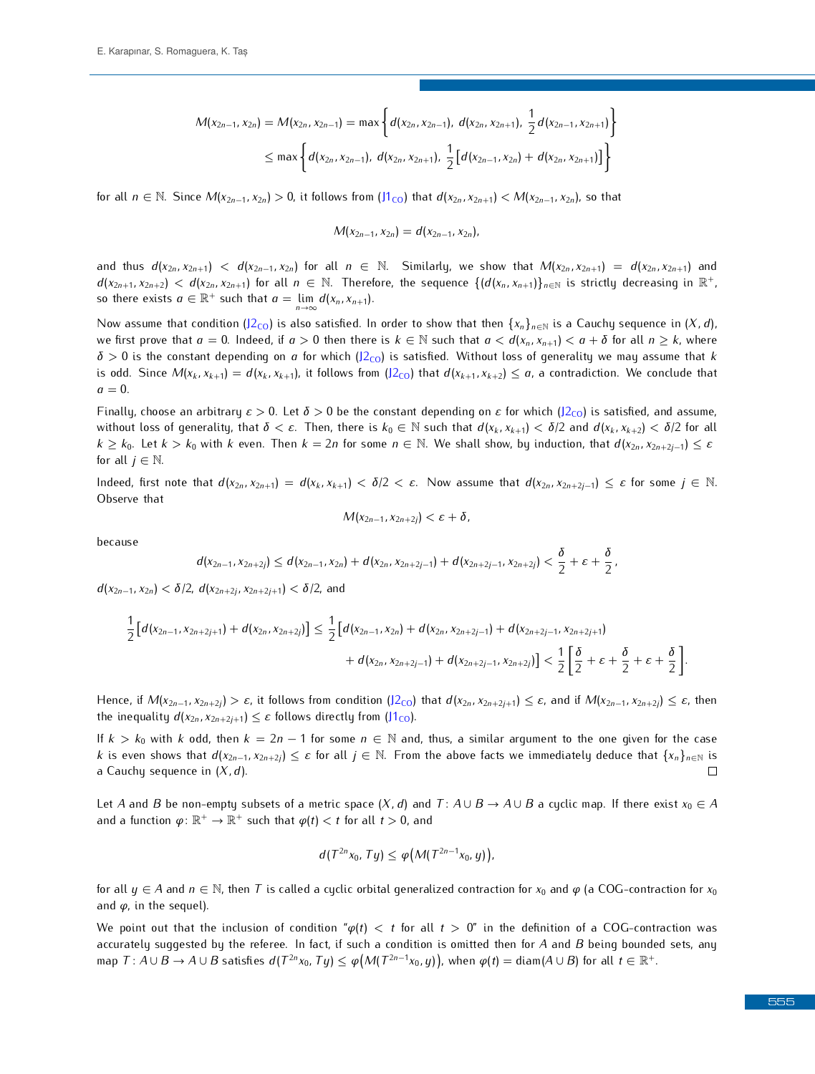$$
M(x_{2n-1}, x_{2n}) = M(x_{2n}, x_{2n-1}) = \max \left\{ d(x_{2n}, x_{2n-1}), d(x_{2n}, x_{2n+1}), \frac{1}{2} d(x_{2n-1}, x_{2n+1}) \right\}
$$
  

$$
\leq \max \left\{ d(x_{2n}, x_{2n-1}), d(x_{2n}, x_{2n+1}), \frac{1}{2} \left[ d(x_{2n-1}, x_{2n}) + d(x_{2n}, x_{2n+1}) \right] \right\}
$$

for all  $n \in \mathbb{N}$ . Since  $M(x_{2n-1}, x_{2n}) > 0$ , it follows from  $(11_{\text{CO}})$  that  $d(x_{2n}, x_{2n+1}) < M(x_{2n-1}, x_{2n})$ , so that

$$
M(x_{2n-1},x_{2n})=d(x_{2n-1},x_{2n}),
$$

and thus  $d(x_{2n}, x_{2n+1}) < d(x_{2n-1}, x_{2n})$  for all  $n \in \mathbb{N}$ . Similarly, we show that  $M(x_{2n}, x_{2n+1}) = d(x_{2n}, x_{2n+1})$  and  $d(x_{2n+1}, x_{2n+2}) < d(x_{2n}, x_{2n+1})$  for all  $n \in \mathbb{N}$ . Therefore, the sequence  $\{ (d(x_n, x_{n+1}) \}_{n \in \mathbb{N}}$  is strictly decreasing in  $\mathbb{R}^+$ , so there exists  $a \in \mathbb{R}^+$  such that  $a = \lim_{n \to \infty} d(x_n, x_{n+1})$ .

Now assume that condition ( $J2_{\text{CO}}$ ) is also satisfied. In order to show that then  $\{x_n\}_{n\in\mathbb{N}}$  is a Cauchy sequence in  $(X,d)$ , we first prove that  $a = 0$ . Indeed, if  $a > 0$  then t[here i](#page-2-4)s  $k \in \mathbb{N}$  such that  $a < d(x_n, x_{n+1}) < a + \delta$  for all  $n \geq k$ , where  $\delta > 0$  is the constant depending on *a* for which (J2<sub>CO</sub>) [is sa](#page-2-4)tisfied. Without loss of generality we may assume that *k* is odd. Since  $M(x_k, x_{k+1}) = d(x_k, x_{k+1})$ , it follows from  $(12_{\text{CO}})$  that  $d(x_{k+1}, x_{k+2}) \le a$ , a contradiction. We conclude that  $a = 0$ .

Finally, choose an arbitrary  $\varepsilon > 0$ . Let  $\delta > 0$  be the constant depending on  $\varepsilon$  for which [\(J2](#page-2-4)<sub>CO</sub>) is satisfied, and assume, without loss of generality, that  $\delta < \varepsilon$ . Then, there is  $k_0 \in \mathbb{N}$  such that  $d(x_k, x_{k+1}) < \delta/2$  and  $d(x_k, x_{k+2}) < \delta/2$  for all  $k \ge k_0$ . Let  $k > k_0$  with k even. Then  $k = 2n$  for some  $n \in \mathbb{N}$ . We shall show, by induction, that  $d(x_{2n}, x_{2n+2j-1}) \le \varepsilon$ for all  $j \in \mathbb{N}$ .

Indeed, first note that  $d(x_{2n}, x_{2n+1}) = d(x_k, x_{k+1}) < \delta/2 < \varepsilon$ . Now assume that  $d(x_{2n}, x_{2n+2j-1}) \leq \varepsilon$  for some  $j \in \mathbb{N}$ .<br>Observe that

$$
\mathcal{M}(x_{2n-1},x_{2n+2j})<\varepsilon+\delta,
$$

because

$$
d(x_{2n-1},x_{2n+2j}) \leq d(x_{2n-1},x_{2n}) + d(x_{2n},x_{2n+2j-1}) + d(x_{2n+2j-1},x_{2n+2j}) < \frac{\delta}{2} + \varepsilon + \frac{\delta}{2},
$$

*<sup>d</sup>*(*x*2*n−*1*, x*2*<sup>n</sup>*) *< δ/*2, *<sup>d</sup>*(*x*2*n*+2*<sup>j</sup> , x*2*n*+2*j*+1) *< δ/*2, and

$$
\frac{1}{2}\left[d(x_{2n-1},x_{2n+2j+1})+d(x_{2n},x_{2n+2j})\right] \leq \frac{1}{2}\left[d(x_{2n-1},x_{2n})+d(x_{2n},x_{2n+2j-1})+d(x_{2n+2j-1},x_{2n+2j+1})+d(x_{2n+2j-1},x_{2n+2j})\right] < \frac{1}{2}\left[\frac{\delta}{2}+\varepsilon+\frac{\delta}{2}+\varepsilon+\frac{\delta}{2}\right]
$$

Hence, if  $M(x_{2n-1}, x_{2n+2i}) > \varepsilon$ , it follows from condition  $(12_{\text{CO}})$  that  $d(x_{2n}, x_{2n+2i+1}) \leq \varepsilon$ , and if  $M(x_{2n-1}, x_{2n+2i}) \leq \varepsilon$ , then the inequality  $d(x_{2n}, x_{2n+2j+1}) \leq \varepsilon$  follows directly from ( $11_{\text{CO}}$ ).

If  $k > k_0$  with k odd, then  $k = 2n - 1$  for some  $n \in \mathbb{N}$  and, thus, a similar argument to the one given for the case *k* is even shows that  $d(x_{2n-1}, x_{2n+2j}) \leq \varepsilon$  for all  $j \in \mathbb{N}$ . From the above facts we immediately deduce that  $\{x_n\}_{n \in \mathbb{N}}$  is a Cauchu sequence in  $(X, d)$ . a Cauchy sequence in (*X, d*).

Let *A* and *B* be non-empty subsets of a metric space  $(X, d)$  and  $T: A \cup B \to A \cup B$  a cyclic map. If there exist  $x_0 \in A$ and a function  $\varphi \colon \mathbb{R}^+ \to \mathbb{R}^+$  such that  $\varphi(t) < t$  for all  $t > 0$ , and

$$
d(T^{2n}x_0,Ty)\leq \varphi\big(M(T^{2n-1}x_0,y)\big),
$$

for all  $y \in A$  and  $n \in \mathbb{N}$ , then *T* is called a cyclic orbital generalized contraction for  $x_0$  and  $\varphi$  (a COG-contraction for  $x_0$ and *<sup>φ</sup>*, in the sequel).

We point out that the inclusion of condition "*φ*(*t*) *< t* for all *t >* 0" in the definition of a COG-contraction was accurately suggested by the referee. In fact, if such a condition is omitted then for *<sup>A</sup>* and *<sup>B</sup>* being bounded sets, any map  $T: A\cup B\to A\cup B$  satisfies  $d(T^{2n}x_0, Ty)\leq \varphi(M(T^{2n-1}x_0, y))$ , when  $\varphi(t)=$  diam $(A\cup B)$  for all  $t\in \mathbb{R}^+$ .

*.*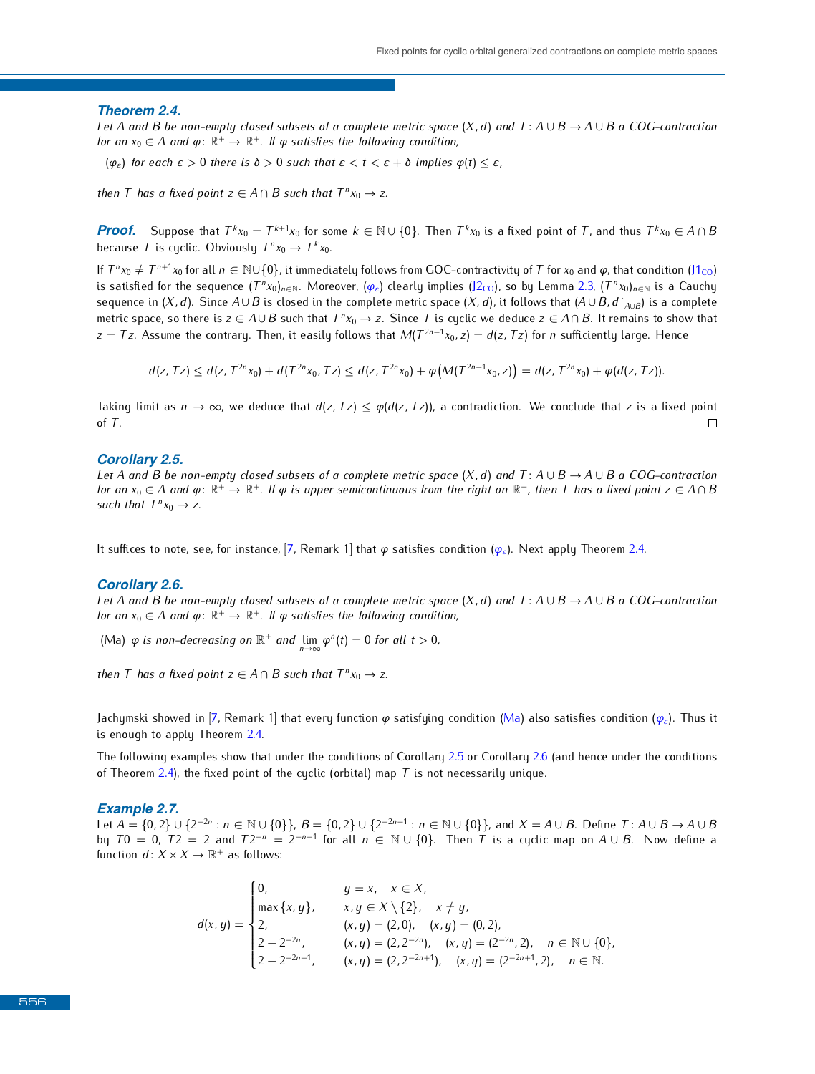#### <span id="page-4-1"></span>*Theorem 2.4.*

Let A and B be non-empty closed subsets of a complete metric space  $(X, d)$  and  $T: A \cup B \to A \cup B$  a COG-contraction *for an*  $x_0 \in A$  *and*  $\varphi \colon \mathbb{R}^+ \to \mathbb{R}^+$ . If  $\varphi$  satisfies the following condition,

<span id="page-4-0"></span>(*φ<sup>ε</sup>*) *for each ε >* <sup>0</sup> *there is δ >* <sup>0</sup> *such that ε < t < ε* <sup>+</sup> *<sup>δ</sup> implies <sup>φ</sup>*(*t*) *<sup>≤</sup> ε,*

*then T has a fixed point*  $z \in A \cap B$  *such that*  $T^n x_0 \to z$ .

**Proof.** Suppose that  $T^k x_0 = T^{k+1} x_0$  for some  $k \in \mathbb{N} \cup \{0\}$ . Then  $T^k x_0$  is a fixed point of T, and thus  $T^k x_0 \in A \cap B$ <br>because  $T$  is surfise Obviously  $T^q x_0 \in T^k x_0$ because *T* is cyclic. Obviously  $T^n x_0 \to T^k x_0$ .

If  $T^n x_0 \neq T^{n+1} x_0$  for all  $n \in \mathbb{N} \cup \{0\}$ , it immediately follows from GOC-co[ntract](#page-2-4)ivity of *T* for  $x_0$  and  $\varphi$ , that condition [\(J1](#page-2-3)<sub>CO</sub>) is a contractivity of  $T^n x_0$  and  $\varphi$ , that condition (J1<sub>CO</sub>) is a co is satisfied for the sequence  $(T^n x_0)_{n \in \mathbb{N}}$ . Moreover,  $(\varphi_{\varepsilon})$  clearly implies (J2<sub>CO</sub>), so by Lemma [2.3,](#page-2-5)  $(T^n x_0)_{n \in \mathbb{N}}$  is a Cauchy<br>sequence in  $(Y, d)$ . Since  $A \cup B$  is closed in the complete metric space  $(X,$ sequence in (*X, d*). Since  $A \cup B$  is closed in the complete metric space (*X, d*), it follows that ( $A \cup B$ ,  $d\upharpoonright_{A \cup B}$ ) is a complete metric space, so there is *z* ∈ *A*∪*B* such that  $T^n x_0 \to z$ . Since *T* is cyclic we deduce *z* ∈ *A*∩*B*. It remains to show that  $T^{n-1} x_0 \to z_0$  and  $T^{n-1} x_0 \to z_0$  and  $T^{n-1} x_0 \to z_0$  is a sufficiently large. Hence *z* = *Tz*. Assume the contrary. Then, it easily follows that  $M(T^{2n-1}x_0, z) = d(z, Tz)$  for *n* sufficiently large. Hence

 $d(z, Tz) \le d(z, T^{2n}x_0) + d(T^{2n}x_0, Tz) \le d(z, T^{2n}x_0) + \varphi(M(T^{2n-1}x_0, z)) = d(z, T^{2n}x_0) + \varphi(d(z, Tz)).$ 

Taking limit as  $n \to \infty$ , we deduce that  $d(z, Tz) \leq \varphi(d(z, Tz))$ , a contradiction. We conclude that *z* is a fixed point of *T*. of *<sup>T</sup>*.

#### <span id="page-4-3"></span>*Corollary 2.5.*

Let A and B be non-empty closed subsets of a complete metric space  $(X, d)$  and  $T: A \cup B \to A \cup B$  a COG-contraction for an  $x_0 \in A$  and  $\varphi \colon \mathbb{R}^+ \to \mathbb{R}^+$ . If  $\varphi$  is upper semicontinuous from the right on  $\mathbb{R}^+$ , then  $T$  has a fixed point  $z \in A \cap B$ <br>such that  $T^p x \to z$ such that  $T^n x_0 \to z$ .

It suffices to note, see, for instance, [\[7,](#page-8-11) Remark 1] that *<sup>φ</sup>* satisfies condition (*[φ](#page-4-0)<sup>ε</sup>*). Next apply Theorem [2.4.](#page-4-1)

#### <span id="page-4-4"></span>*Corollary 2.6.*

Let A and B be non-empty closed subsets of a complete metric space  $(X, d)$  and  $T: A \cup B \to A \cup B$  a COG-contraction for an  $x_0 \in A$  and  $\varphi \colon \mathbb{R}^+ \to \mathbb{R}^+$ . If  $\varphi$  satisfies the following condition,

<span id="page-4-2"></span>(Ma)  $\varphi$  *is non-decreasing on*  $\mathbb{R}^+$  *and*  $\lim_{n\to\infty}\varphi^n(t) = 0$  *for all*  $t > 0$ *, n→∞*

*then T has a fixed point*  $z \in A \cap B$  *such that*  $T^n x_0 \to z$ .

Jachymski showed in [\[7,](#page-8-11) Re[mark](#page-4-1) 1] that every function *<sup>φ</sup>* satisfying condition [\(Ma\)](#page-4-2) also satisfies condition (*[φ](#page-4-0)<sup>ε</sup>*). Thus it is enough to apply Theorem 2.4.

The followi[ng e](#page-4-1)xamples show that under the conditions of Corollary [2.6](#page-4-4) or Corollary 2.6 (and hence under the conditions of Theorem 2.4), the fixed point of the cyclic (orbital) map *T* is not necessarily unique.

#### <span id="page-4-5"></span>*Example 2.7.*

Let  $A = \{0, 2\} \cup \{2^{-2n} : n \in \mathbb{N} \cup \{0\}\}\$ ,  $B = \{0, 2\} \cup \{2^{-2n-1} : n \in \mathbb{N} \cup \{0\}\}\$ , and  $X = A \cup B$ . Define  $T : A \cup B \rightarrow A \cup B$ <br>by  $T0 = 0$ ,  $T2 = 2$  and  $T2^{-n} = 2^{-n-1}$  for all  $n \in \mathbb{N} \cup \{0\}$ . Then  $T$  is a suckis map on by *T*0 = 0, *T*2 = 2 and *T*2<sup>*−n*</sup> = 2<sup>−*n−*1</sup> for all *n* ∈ N ∪ {0}. Then *T* is a cyclic map on *A* ∪ *B*. Now define a function d:  $Y \times Y \times \mathbb{P}^+$  as follows: function  $d: X \times X \to \mathbb{R}^+$  as follows:

$$
d(x,y) = \begin{cases} 0, & y = x, \quad x \in X, \\ \max\{x,y\}, & x,y \in X \setminus \{2\}, \quad x \neq y, \\ 2, & (x,y) = (2,0), \quad (x,y) = (0,2), \\ 2 - 2^{-2n}, & (x,y) = (2,2^{-2n}), \quad (x,y) = (2^{-2n},2), \quad n \in \mathbb{N} \cup \{0\}, \\ 2 - 2^{-2n-1}, & (x,y) = (2,2^{-2n+1}), \quad (x,y) = (2^{-2n+1},2), \quad n \in \mathbb{N}. \end{cases}
$$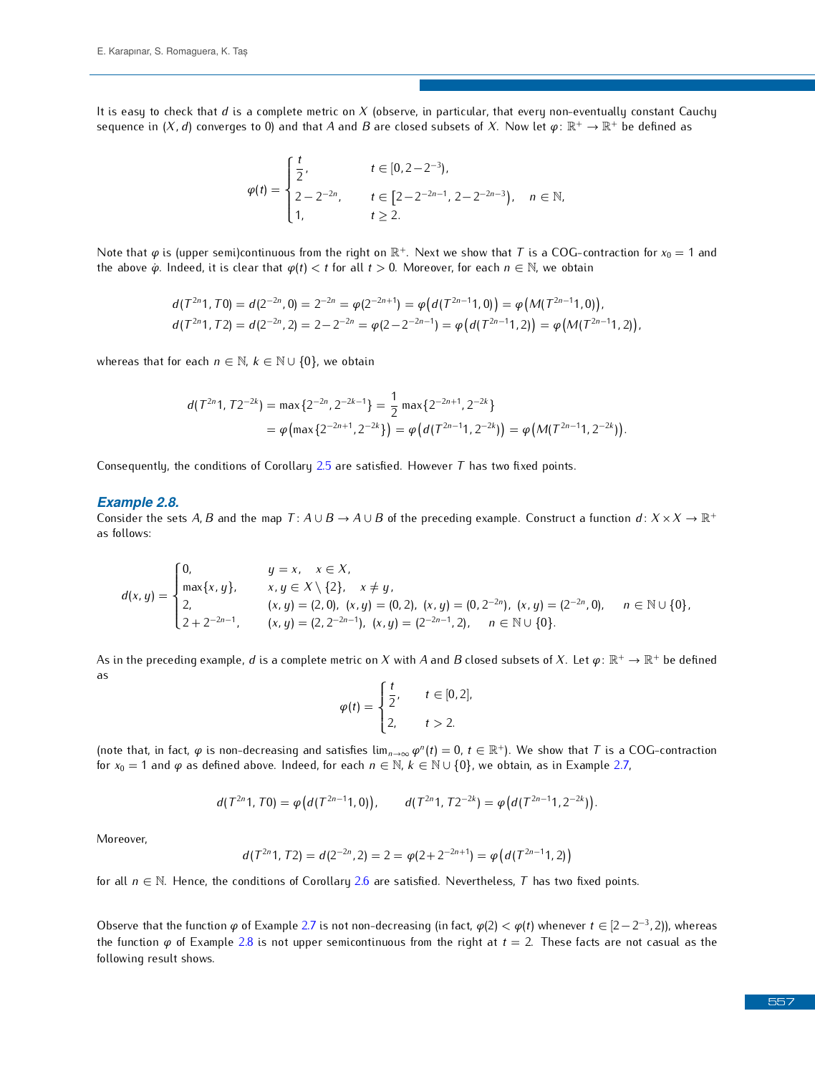It is easy to check that *<sup>d</sup>* is a complete metric on *<sup>X</sup>* (observe, in particular, that every non-eventually constant Cauchy sequence in  $(X, d)$  converges to 0) and that  $A$  and  $B$  are closed subsets of  $X$ . Now let  $\varphi \colon \mathbb{R}^+ \to \mathbb{R}^+$  be defined as

$$
\varphi(t) = \begin{cases} \frac{t}{2}, & t \in [0, 2-2^{-3}), \\ 2 - 2^{-2n}, & t \in [2-2^{-2n-1}, 2-2^{-2n-3}), \\ 1, & t \ge 2. \end{cases}, n \in \mathbb{N},
$$

Note that  $\varphi$  is (upper semi)continuous from the right on  $\mathbb{R}^+$ . Next we show that *T* is a COG-contraction for  $x_0 = 1$  and the above  $\phi$  Indeed it is clear that  $\varphi(t) < t$  for all  $t > 0$ . Moreover, for each  $n \in \$ the above  $\dot{\varphi}$ . Indeed, it is clear that  $\varphi(t) < t$  for all  $t > 0$ . Moreover, for each  $n \in \mathbb{N}$ , we obtain

$$
d(T^{2n}1, T0) = d(2^{-2n}, 0) = 2^{-2n} = \varphi(2^{-2n+1}) = \varphi\big(d(T^{2n-1}1, 0)\big) = \varphi\big(M(T^{2n-1}1, 0)\big),
$$
  

$$
d(T^{2n}1, T2) = d(2^{-2n}, 2) = 2 - 2^{-2n} = \varphi(2 - 2^{-2n-1}) = \varphi\big(d(T^{2n-1}1, 2)\big) = \varphi\big(M(T^{2n-1}1, 2)\big),
$$

whereas that for each  $n \in \mathbb{N}$ ,  $k \in \mathbb{N} \cup \{0\}$ , we obtain

$$
d(T^{2n}1, T2^{-2k}) = \max\{2^{-2n}, 2^{-2k-1}\} = \frac{1}{2} \max\{2^{-2n+1}, 2^{-2k}\}
$$
  
=  $\varphi(\max\{2^{-2n+1}, 2^{-2k}\}) = \varphi(d(T^{2n-1}1, 2^{-2k})) = \varphi(M(T^{2n-1}1, 2^{-2k})).$ 

Consequently, the conditions of Corollary [2.5](#page-4-3) are satisfied. However *<sup>T</sup>* has two fixed points.

#### <span id="page-5-0"></span>*Example 2.8.*

Consider the sets *A, B* and the map *T* :  $A \cup B \rightarrow A \cup B$  of the preceding example. Construct a function  $d: X \times X \rightarrow \mathbb{R}^+$ as follows:

$$
d(x,y) = \begin{cases} 0, & y = x, \quad x \in X, \\ \max\{x,y\}, & x,y \in X \setminus \{2\}, \quad x \neq y, \\ 2, & (x,y) = (2,0), \ (x,y) = (0,2), \ (x,y) = (0,2^{-2n}), \ (x,y) = (2^{-2n},0), \quad n \in \mathbb{N} \cup \{0\}, \\ 2 + 2^{-2n-1}, & (x,y) = (2,2^{-2n-1}), \ (x,y) = (2^{-2n-1},2), \quad n \in \mathbb{N} \cup \{0\}. \end{cases}
$$

As in the preceding example,  $d$  is a complete metric on  $X$  with  $A$  and  $B$  closed subsets of  $X$ . Let  $\varphi \colon \mathbb{R}^+ \to \mathbb{R}^+$  be defined

$$
\varphi(t) = \begin{cases} \frac{t}{2}, & t \in [0, 2], \\ 2, & t > 2. \end{cases}
$$

(note that, in fact,  $\varphi$  is non-decreasing and satisfies  $\lim_{n\to\infty} \varphi^n(t) = 0$ ,  $t \in \mathbb{R}^+$ ). We show that *T* i[s a C](#page-4-5)OG-contraction for  $x_0 = 1$  and  $\varphi$  as defined above. Indeed for each  $n \in \mathbb{N}$   $k \in \mathbb{N}$  is 0 for  $x_0 = 1$  and  $\varphi$  as defined above. Indeed, for each  $n \in \mathbb{N}$ ,  $k \in \mathbb{N} \cup \{0\}$ , we obtain, as in Example 2.7,

$$
d(T^{2n}1, T0) = \varphi\big(d(T^{2n-1}1, 0)\big), \qquad d(T^{2n}1, T2^{-2k}) = \varphi\big(d(T^{2n-1}1, 2^{-2k})\big).
$$

Moreover,

$$
d(T^{2n}1, T2) = d(2^{-2n}, 2) = 2 = \varphi(2 + 2^{-2n+1}) = \varphi(d(T^{2n-1}1, 2))
$$

for all *<sup>n</sup> <sup>∈</sup>* <sup>N</sup>. Hence, the conditions of Corollary [2.6](#page-4-4) are satisfied. Nevertheless, *<sup>T</sup>* has two fixed points.

Observe that the function *φ* of Example [2.7](#page-4-5) is not non-decreasing (in fact, *φ*(2) < *φ*(*t*) whenever *t* ∈ [2−2<sup>-3</sup>, 2)), whereas the function *<sup>φ</sup>* of Example [2.8](#page-5-0) is not upper semicontinuous from the right at *<sup>t</sup>* = 2. These facts are not casual as the following result shows.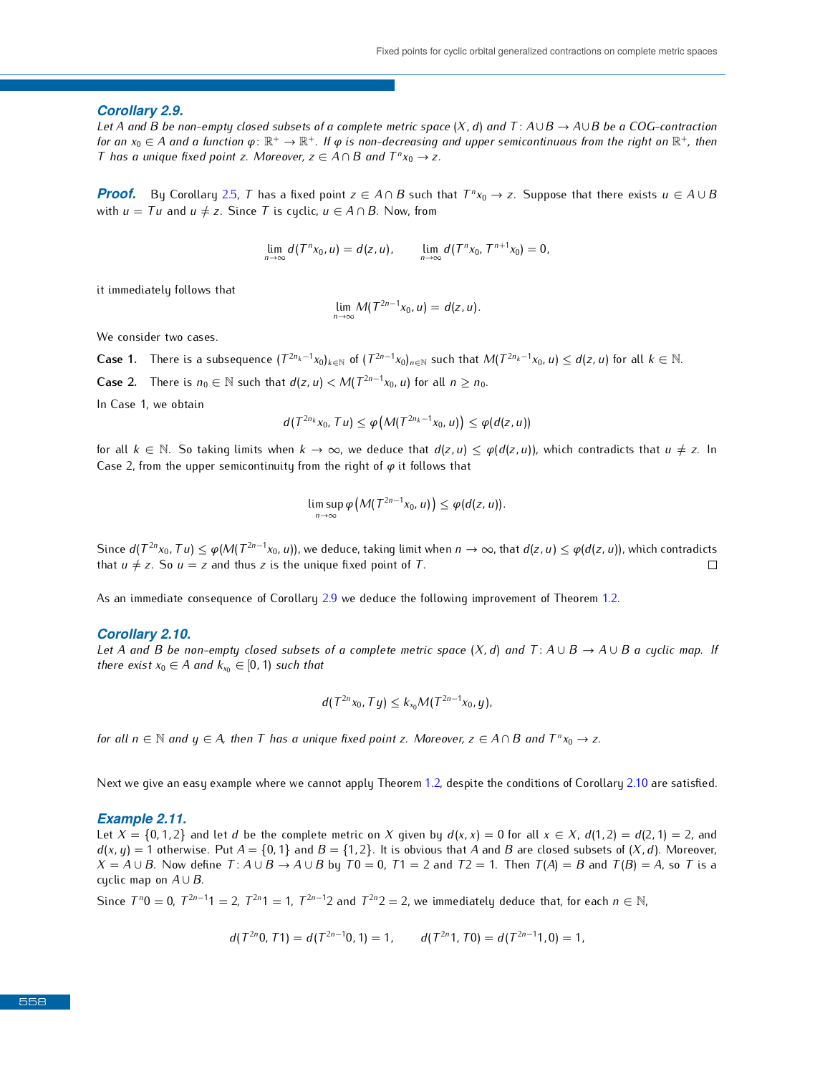#### <span id="page-6-0"></span>*Corollary 2.9.*

*Let <sup>A</sup> and <sup>B</sup> be non-empty closed subsets of a complete metric space* (*X, d*) *and <sup>T</sup>* : *A∪B <sup>→</sup> A∪B be a COG-contraction for an*  $x_0 \in A$  and a function  $\varphi \colon \mathbb{R}^+ \to \mathbb{R}^+$ . If  $\varphi$  is non-decreasing and upper semicontinuous from the right on  $\mathbb{R}^+$ , then<br>I has a unique fixed point z. Mareover, z  $\in A \cap B$  and  $T^n x \to z$ *T* has a unique fixed point *z.* Moreover,  $z \in A \cap B$  and  $T^n x_0 \to z$ .

**Proof.** By Corollary [2.5,](#page-4-3) T has a fixed point  $z \in A \cap B$  such that  $T^n x_0 \to z$ . Suppose that there exists  $u \in A \cup B$ <br>with  $u = Tu$  and  $u \neq z$  Since T is quality  $u \subseteq A \cap B$ . Now from with  $u = Tu$  and  $u \neq z$ . Since *T* is cyclic,  $u \in A \cap B$ . Now, from

$$
\lim_{n\to\infty}d(T^nx_0,u)=d(z,u),\qquad \lim_{n\to\infty}d(T^nx_0,T^{n+1}x_0)=0,
$$

it immediately follows that

$$
\lim_{n\to\infty}M(T^{2n-1}x_0,u)=d(z,u).
$$

**Case 1.** There is a subsequence  $(T^{2n_k-1}x_0)_{k\in\mathbb{N}}$  of  $(T^{2n-1}x_0)_{n\in\mathbb{N}}$  such that  $M(T^{2n_k-1}x_0, u) \leq d(z, u)$  for all  $k \in \mathbb{N}$ .

**Case 2.** There is  $n_0 \in \mathbb{N}$  such that  $d(z, u) < M(T^{2n-1}x_0, u)$  for all  $n \ge n_0$ .

In Case 1, we obtain

$$
d(T^{2n_k}x_0, Tu) \leq \varphi(M(T^{2n_k-1}x_0, u)) \leq \varphi(d(z, u))
$$

for all  $k \in \mathbb{N}$ . So taking limits when  $k \to \infty$ , we deduce that  $d(z, u) \leq \varphi(d(z, u))$ , which contradicts that  $u \neq z$ . In Case 2, from the upper semicontinuity from the right of *<sup>φ</sup>* it follows that

$$
\limsup_{n\to\infty}\varphi\big(M(T^{2n-1}x_0,u)\big)\leq\varphi(d(z,u)).
$$

Since  $d(T^{2n}x_0, Tu) \leq \varphi(M(T^{2n-1}x_0, u))$ , we deduce, taking limit when  $n \to \infty$ , that  $d(z, u) \leq \varphi(d(z, u))$ , which contradicts that  $u \neq z$ . So  $u = z$  and thus *z* is the unique fixed point of *T*.

As an immediate consequence of Corollary [2.9](#page-6-0) we deduce the following improvement of Theorem [1.2.](#page-1-7)

#### <span id="page-6-1"></span>*Corollary 2.10.*

*Let A* and *B be non-empty closed subsets of a complete metric space*  $(X, d)$  and  $T: A \cup B \rightarrow A \cup B$  a cyclic map. If *there exist*  $x_0 \in A$  *and*  $k_{x_0} \in [0, 1)$  *such that* 

$$
d(T^{2n}x_0, Ty) \le k_{x_0} M(T^{2n-1}x_0, y),
$$

for all  $n \in \mathbb{N}$  and  $y \in A$ , then T has a unique fixed point z. Moreover,  $z \in A \cap B$  and  $T^n x_0 \to z$ .

Next we give an easy example where we cannot apply Theorem [1.2,](#page-1-7) despite the conditions of Corollary [2.10](#page-6-1) are satisfied.

#### *Example 2.11.*

Let  $X = \{0, 1, 2\}$  and let d be the complete metric on X given by  $d(x, x) = 0$  for all  $x \in X$ ,  $d(1, 2) = d(2, 1) = 2$ , and  $d(x, y) = 1$  otherwise. Put  $A = \{0, 1\}$  and  $B = \{1, 2\}$ . It is obvious that *A* and *B* are closed subsets of  $(X, d)$ . Moreover,  $X = A \cup B$ . Now define  $T: A \cup B \rightarrow A \cup B$  by  $T0 = 0$ ,  $T1 = 2$  and  $T2 = 1$ . Then  $T(A) = B$  and  $T(B) = A$ , so T is a cyclic map on  $A \cup B$ .

Since  $T^n0 = 0$ ,  $T^{2n-1}1 = 2$ ,  $T^{2n}1 = 1$ ,  $T^{2n-1}2$  and  $T^{2n}2 = 2$ , we immediately deduce that, for each  $n \in \mathbb{N}$ ,

$$
d(T^{2n}0, T1) = d(T^{2n-1}0, 1) = 1,
$$
  $d(T^{2n}1, T0) = d(T^{2n-1}1, 0) = 1,$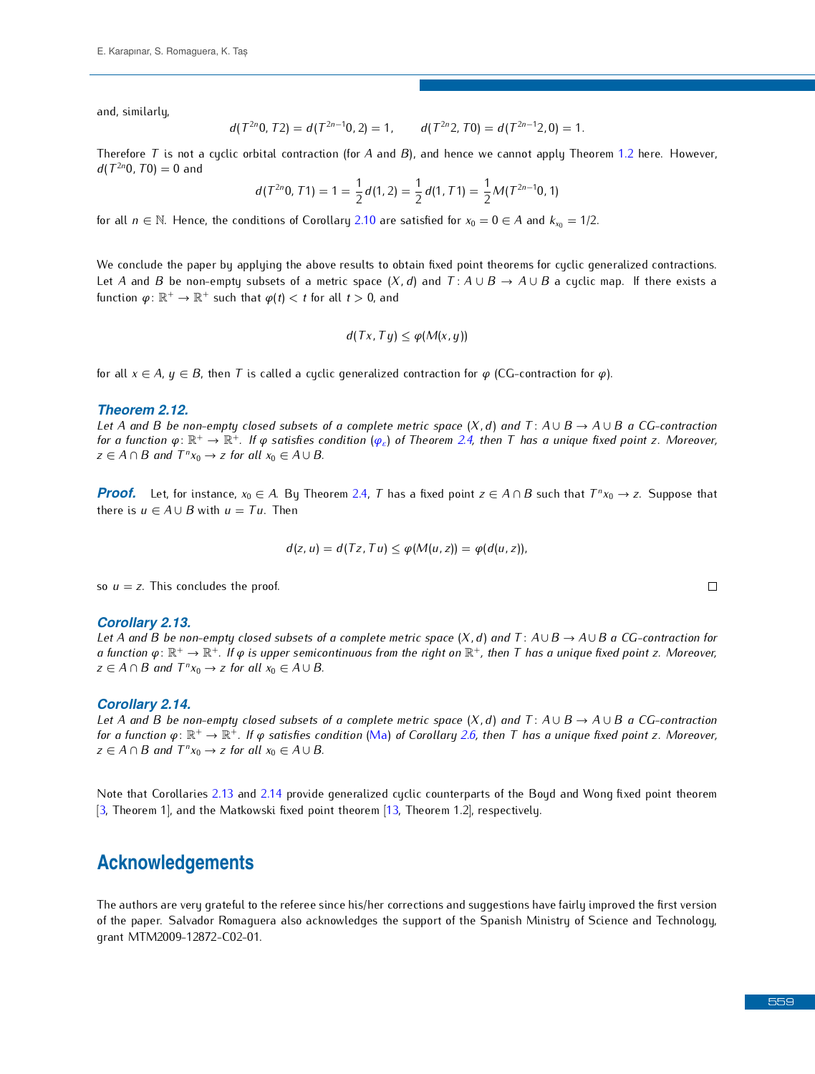and, similarly,

$$
d(T^{2n}0, T2) = d(T^{2n-1}0, 2) = 1, \qquad d(T^{2n}2, T0) = d(T^{2n-1}2, 0) = 1.
$$

Therefore *<sup>T</sup>* is not a cyclic orbital contraction (for *<sup>A</sup>* and *<sup>B</sup>*), and hence we cannot apply Theorem [1.2](#page-1-7) here. However,  $d(T^{2n}0, T0) = 0$  and

$$
d(T^{2n}0, T1) = 1 = \frac{1}{2}d(1, 2) = \frac{1}{2}d(1, T1) = \frac{1}{2}M(T^{2n-1}0, 1)
$$

for all  $n \in \mathbb{N}$ . Hence, the conditions of Corollary [2.10](#page-6-1) are satisfied for  $x_0 = 0 \in A$  and  $k_{x_0} = 1/2$ .

Let A and B be non-empty subsets of a metric space  $(X, d)$  and  $T: A \cup B \rightarrow A \cup B$  a cyclic map. If there exists a function  $\varphi \colon \mathbb{R}^+ \to \mathbb{R}^+$  such that  $\varphi(t) < t$  for all  $t > 0$ , and

$$
d(Tx, Ty) \leq \varphi(M(x, y))
$$

for all  $x \in A$ ,  $y \in B$ , then *T* is called a cyclic generalized contraction for  $\varphi$  (CG-contraction for  $\varphi$ ).

#### *Theorem 2.12.*

*Let A* and *B* be non-empty closed subsets of a complete metric space  $(X, d)$  and  $T: A \cup B \rightarrow A \cup B$  a CG-contraction *for a function*  $\varphi \colon \mathbb{R}^+ \to \mathbb{R}^+$ . If  $\varphi$  satisfies condition  $(\varphi_{\varepsilon})$  of Theorem [2.4,](#page-4-1) then  $T$  has a unique fixed point  $z$ . Moreover,<br> $z \in A \cap B$  and  $T^p x \to z$  for all  $x \in A \cup B$ *z* ∈ *A* ∩ *B* and  $T^n x_0 \to z$  for all  $x_0 \in A \cup B$ .

*Proof.* Let, for instance,  $x_0 \in A$ . By Theorem [2.4,](#page-4-1) *T* has a fixed point *z* ∈ *A* ∩ *B* such that  $T^n x_0 \to z$ . Suppose that there is  $u \in A \cup B$  with  $u = Tx$ . Then there is  $u \in A \cup B$  with  $u = Tu$ . Then

$$
d(z, u) = d(Tz, Tu) \leq \varphi(M(u, z)) = \varphi(d(u, z)),
$$

so  $u = z$ . This concludes the proof.

#### <span id="page-7-0"></span>*Corollary 2.13.*

*Let <sup>A</sup> and <sup>B</sup> be non-empty closed subsets of a complete metric space* (*X, d*) *and <sup>T</sup>* : *A∪B <sup>→</sup> A∪B a CG-contraction for a function φ*: ℝ<sup>+</sup> → ℝ<sup>+</sup>. If φ is upper semicontinuous from the right on ℝ<sup>+</sup>, then T has a unique fixed point z. Moreover,<br>z ⊂ Δ ⊙ Β and T<sup>n</sup>xe → z for all xe ⊆ Δ ι Β *z* ∈ *A* ∩ *B* and  $T^n x_0 \to z$  for all  $x_0 \in A \cup B$ .

#### <span id="page-7-1"></span>*Corollary 2.14.*

*Let A* and *B be non-empty closed subsets of a complete metric space*  $(X, d)$  and  $T: A \cup B \rightarrow A \cup B$  *a CG-contraction for a function φ*: ℝ<sup>+</sup> → ℝ<sup>∔</sup>. *If φ satisfies condition* [\(Ma\)](#page-4-2) *of Corollary [2.6,](#page-4-4) then T has a unique fixed point z. Moreover,*<br>z ⊂ Δ Ω B and T<sup>n</sup>× → z for all × ⊆ Δ ι Β *z* ∈ *A* ∩ *B* and  $T^n x_0 \to z$  for all  $x_0 \in A \cup B$ .

 $\Omega$ . Theseem 1) and the Methough: fund point theorem [12] Theorem 1.21 reconstructive  $\Omega$ [3, Theorem 1], and the Matkowski fixed point theorem [13, Theorem 1.2], respectively.

### **Acknowledgements**

The authors are very grateful to the very corrective since the referee since the reference since the reference since  $\mathbf{f}$  the referee since  $\mathbf{f}$  the first versions of the first versions of  $\mathbf{f}$  and  $\mathbf{f}$  and of the paper. Salvador Romaguera also acknowledges the support of the Spanish Ministry of Science and Technology, grant MTM2009-12872-C02-01.

 $\Box$